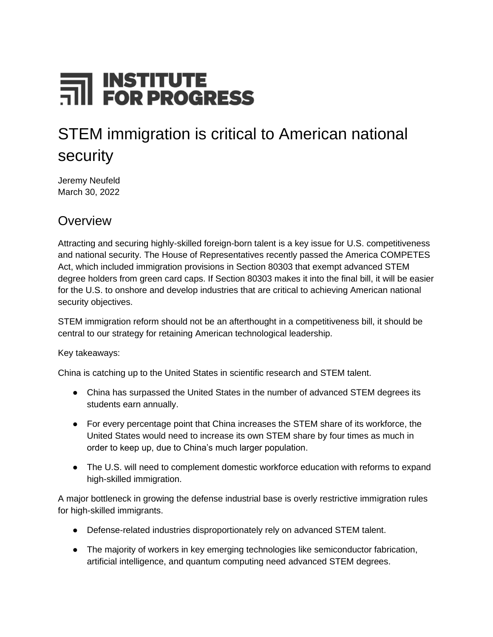# FOR PROGRESS

# STEM immigration is critical to American national security

Jeremy Neufeld March 30, 2022

#### **Overview**

Attracting and securing highly-skilled foreign-born talent is a key issue for U.S. competitiveness and national security. The House of Representatives recently passed the America COMPETES Act, which included immigration provisions in Section 80303 that exempt advanced STEM degree holders from green card caps. If Section 80303 makes it into the final bill, it will be easier for the U.S. to onshore and develop industries that are critical to achieving American national security objectives.

STEM immigration reform should not be an afterthought in a competitiveness bill, it should be central to our strategy for retaining American technological leadership.

Key takeaways:

China is catching up to the United States in scientific research and STEM talent.

- China has surpassed the United States in the number of advanced STEM degrees its students earn annually.
- For every percentage point that China increases the STEM share of its workforce, the United States would need to increase its own STEM share by four times as much in order to keep up, due to China's much larger population.
- The U.S. will need to complement domestic workforce education with reforms to expand high-skilled immigration.

A major bottleneck in growing the defense industrial base is overly restrictive immigration rules for high-skilled immigrants.

- Defense-related industries disproportionately rely on advanced STEM talent.
- The majority of workers in key emerging technologies like semiconductor fabrication, artificial intelligence, and quantum computing need advanced STEM degrees.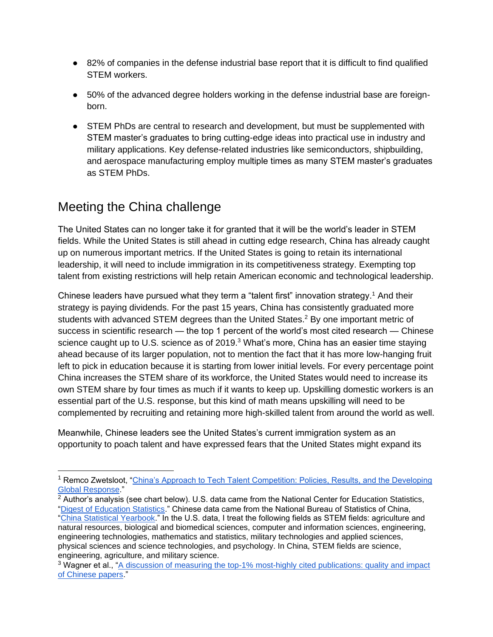- 82% of companies in the defense industrial base report that it is difficult to find qualified STEM workers.
- 50% of the advanced degree holders working in the defense industrial base are foreignborn.
- STEM PhDs are central to research and development, but must be supplemented with STEM master's graduates to bring cutting-edge ideas into practical use in industry and military applications. Key defense-related industries like semiconductors, shipbuilding, and aerospace manufacturing employ multiple times as many STEM master's graduates as STEM PhDs.

# Meeting the China challenge

The United States can no longer take it for granted that it will be the world's leader in STEM fields. While the United States is still ahead in cutting edge research, China has already caught up on numerous important metrics. If the United States is going to retain its international leadership, it will need to include immigration in its competitiveness strategy. Exempting top talent from existing restrictions will help retain American economic and technological leadership.

Chinese leaders have pursued what they term a "talent first" innovation strategy.<sup>1</sup> And their strategy is paying dividends. For the past 15 years, China has consistently graduated more students with advanced STEM degrees than the United States.<sup>2</sup> By one important metric of success in scientific research — the top 1 percent of the world's most cited research — Chinese science caught up to U.S. science as of  $2019<sup>3</sup>$  What's more, China has an easier time staying ahead because of its larger population, not to mention the fact that it has more low-hanging fruit left to pick in education because it is starting from lower initial levels. For every percentage point China increases the STEM share of its workforce, the United States would need to increase its own STEM share by four times as much if it wants to keep up. Upskilling domestic workers is an essential part of the U.S. response, but this kind of math means upskilling will need to be complemented by recruiting and retaining more high-skilled talent from around the world as well.

Meanwhile, Chinese leaders see the United States's current immigration system as an opportunity to poach talent and have expressed fears that the United States might expand its

<sup>1</sup> Remco Zwetsloot, ["China's Approach to Tech Talent Competition: Policies, Results, and the Developing](http://brookings.edu/wp-content/uploads/2020/04/FP_20200427_china_talent_policy_zwetsloot.pdf)  [Global Response.](http://brookings.edu/wp-content/uploads/2020/04/FP_20200427_china_talent_policy_zwetsloot.pdf)"

<sup>&</sup>lt;sup>2</sup> Author's analysis (see chart below). U.S. data came from the National Center for Education Statistics, ["Digest of Education Statistics.](https://nces.ed.gov/programs/digest/index.asp)" Chinese data came from the National Bureau of Statistics of China, ["China Statistical Yearbook.](http://www.stats.gov.cn/tjsj/ndsj/)" In the U.S. data, I treat the following fields as STEM fields: agriculture and natural resources, biological and biomedical sciences, computer and information sciences, engineering, engineering technologies, mathematics and statistics, military technologies and applied sciences, physical sciences and science technologies, and psychology. In China, STEM fields are science, engineering, agriculture, and military science.

<sup>&</sup>lt;sup>3</sup> Wagner et al., "A discussion of measuring the top-1% most-highly cited publications: quality and impact [of Chinese papers.](https://link.springer.com/article/10.1007/s11192-022-04291-z?utm_source=Iterable&utm_medium=email&utm_campaign=campaign_3886451_nl_Latitudes_date_20220316&cid=lt&source&sourceid)"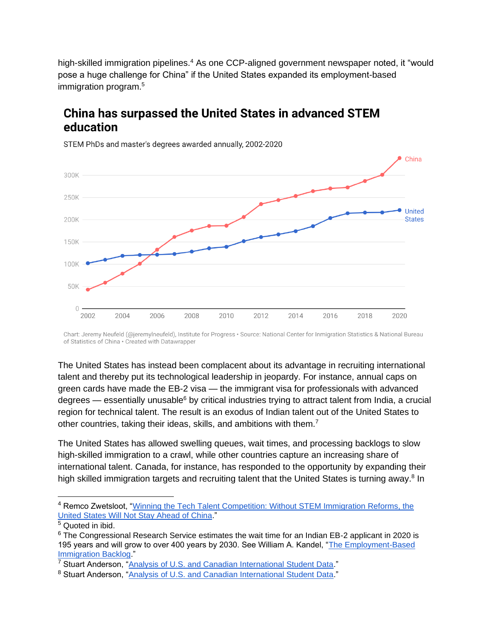high-skilled immigration pipelines.<sup>4</sup> As one CCP-aligned government newspaper noted, it "would pose a huge challenge for China" if the United States expanded its employment-based immigration program.<sup>5</sup>

#### China has surpassed the United States in advanced STEM education



STEM PhDs and master's degrees awarded annually, 2002-2020

Chart: Jeremy Neufeld (@jeremylneufeld), Institute for Progress · Source: National Center for Inmigration Statistics & National Bureau of Statistics of China · Created with Datawrapper

The United States has instead been complacent about its advantage in recruiting international talent and thereby put its technological leadership in jeopardy. For instance, annual caps on green cards have made the EB-2 visa — the immigrant visa for professionals with advanced degrees — essentially unusable<sup>6</sup> by critical industries trying to attract talent from India, a crucial region for technical talent. The result is an exodus of Indian talent out of the United States to other countries, taking their ideas, skills, and ambitions with them.<sup>7</sup>

The United States has allowed swelling queues, wait times, and processing backlogs to slow high-skilled immigration to a crawl, while other countries capture an increasing share of international talent. Canada, for instance, has responded to the opportunity by expanding their high skilled immigration targets and recruiting talent that the United States is turning away.<sup>8</sup> In

<sup>4</sup> Remco Zwetsloot, ["Winning the Tech Talent Competition: Without STEM Immigration Reforms, the](https://csis-website-prod.s3.amazonaws.com/s3fs-public/publication/211028_Zwetsloot_Talent_Competition.pdf?CERH1CkKoHqhYHSLVvyn7tNJoNF0KNzw)  [United States Will Not Stay Ahead of China.](https://csis-website-prod.s3.amazonaws.com/s3fs-public/publication/211028_Zwetsloot_Talent_Competition.pdf?CERH1CkKoHqhYHSLVvyn7tNJoNF0KNzw)"

<sup>5</sup> Quoted in ibid.

<sup>6</sup> The Congressional Research Service estimates the wait time for an Indian EB-2 applicant in 2020 is 195 years and will grow to over 400 years by 2030. See William A. Kandel, ["The Employment-Based](https://www.everycrsreport.com/files/20200326_R46291_a4731eeb00f39050b6df66d326d0356438414f03.pdf)  [Immigration Backlog.](https://www.everycrsreport.com/files/20200326_R46291_a4731eeb00f39050b6df66d326d0356438414f03.pdf)"

<sup>7</sup> Stuart Anderson, ["Analysis of U.S. and Canadian International Student Data.](https://nfap.com/wp-content/uploads/2022/03/Analysis-of-International-Student-Data.NFAP-Policy-Brief.March-2022.pdf)"

<sup>8</sup> Stuart Anderson, ["Analysis of U.S. and Canadian International Student Data.](https://nfap.com/wp-content/uploads/2022/03/Analysis-of-International-Student-Data.NFAP-Policy-Brief.March-2022.pdf)"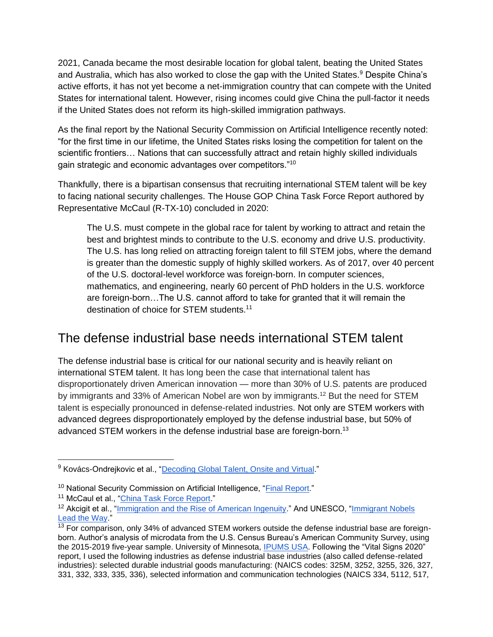2021, Canada became the most desirable location for global talent, beating the United States and Australia, which has also worked to close the gap with the United States.<sup>9</sup> Despite China's active efforts, it has not yet become a net-immigration country that can compete with the United States for international talent. However, rising incomes could give China the pull-factor it needs if the United States does not reform its high-skilled immigration pathways.

As the final report by the National Security Commission on Artificial Intelligence recently noted: "for the first time in our lifetime, the United States risks losing the competition for talent on the scientific frontiers… Nations that can successfully attract and retain highly skilled individuals gain strategic and economic advantages over competitors."<sup>10</sup>

Thankfully, there is a bipartisan consensus that recruiting international STEM talent will be key to facing national security challenges. The House GOP China Task Force Report authored by Representative McCaul (R-TX-10) concluded in 2020:

The U.S. must compete in the global race for talent by working to attract and retain the best and brightest minds to contribute to the U.S. economy and drive U.S. productivity. The U.S. has long relied on attracting foreign talent to fill STEM jobs, where the demand is greater than the domestic supply of highly skilled workers. As of 2017, over 40 percent of the U.S. doctoral-level workforce was foreign-born. In computer sciences, mathematics, and engineering, nearly 60 percent of PhD holders in the U.S. workforce are foreign-born…The U.S. cannot afford to take for granted that it will remain the destination of choice for STEM students.<sup>11</sup>

#### The defense industrial base needs international STEM talent

The defense industrial base is critical for our national security and is heavily reliant on international STEM talent. It has long been the case that international talent has disproportionately driven American innovation — more than 30% of U.S. patents are produced by immigrants and 33% of American Nobel are won by immigrants.<sup>12</sup> But the need for STEM talent is especially pronounced in defense-related industries. Not only are STEM workers with advanced degrees disproportionately employed by the defense industrial base, but 50% of advanced STEM workers in the defense industrial base are foreign-born.<sup>13</sup>

<sup>&</sup>lt;sup>9</sup> Kovács-Ondrejkovic et al., ["Decoding Global Talent, Onsite and Virtual.](https://web-assets.bcg.com/cf/76/00bdede345b09397d1269119e6f1/bcg-decoding-global-talent-onsite-and-virtual-mar-2021-rr.pdf)"

<sup>&</sup>lt;sup>10</sup> National Security Commission on Artificial Intelligence, ["Final Report."](https://www.nscai.gov/wp-content/uploads/2021/03/Full-Report-Digital-1.pdf)

<sup>&</sup>lt;sup>11</sup> McCaul et al., ["China Task Force Report.](https://gop-foreignaffairs.house.gov/wp-content/uploads/2020/11/China-Task-Force-Final-Report-11.6.20.pdf)"

<sup>&</sup>lt;sup>12</sup> Akcigit et al., "*Immigration and the Rise of American Ingenuity*." And UNESCO, "*Immigrant Nobels* [Lead the Way.](https://en.unesco.org/news/immigrant-nobel-laureates-lead-way)"

<sup>&</sup>lt;sup>13</sup> For comparison, only 34% of advanced STEM workers outside the defense industrial base are foreignborn. Author's analysis of microdata from the U.S. Census Bureau's American Community Survey, using the 2015-2019 five-year sample. University of Minnesota, [IPUMS USA.](http://www.ipums.org/) Following the "Vital Signs 2020" report, I used the following industries as defense industrial base industries (also called defense-related industries): selected durable industrial goods manufacturing: (NAICS codes: 325M, 3252, 3255, 326, 327, 331, 332, 333, 335, 336), selected information and communication technologies (NAICS 334, 5112, 517,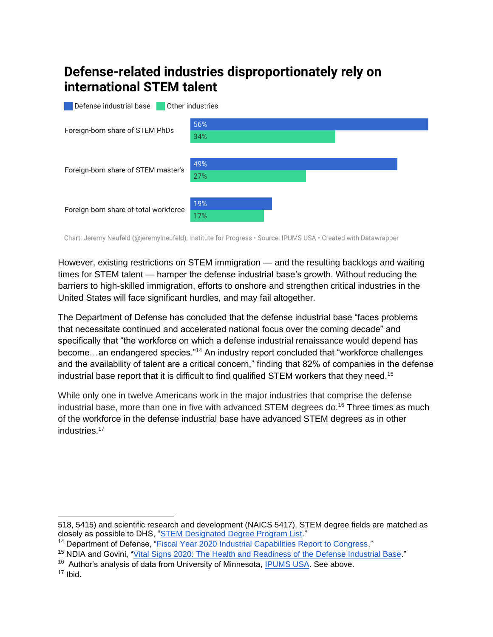#### Defense-related industries disproportionately rely on international STEM talent

![](_page_4_Figure_1.jpeg)

Chart: Jeremy Neufeld (@jeremylneufeld), Institute for Progress · Source: IPUMS USA · Created with Datawrapper

However, existing restrictions on STEM immigration — and the resulting backlogs and waiting times for STEM talent — hamper the defense industrial base's growth. Without reducing the barriers to high-skilled immigration, efforts to onshore and strengthen critical industries in the United States will face significant hurdles, and may fail altogether.

The Department of Defense has concluded that the defense industrial base "faces problems that necessitate continued and accelerated national focus over the coming decade" and specifically that "the workforce on which a defense industrial renaissance would depend has become…an endangered species."<sup>14</sup> An industry report concluded that "workforce challenges and the availability of talent are a critical concern," finding that 82% of companies in the defense industrial base report that it is difficult to find qualified STEM workers that they need.<sup>15</sup>

While only one in twelve Americans work in the major industries that comprise the defense industrial base, more than one in five with advanced STEM degrees do.<sup>16</sup> Three times as much of the workforce in the defense industrial base have advanced STEM degrees as in other industries.<sup>17</sup>

<sup>518, 5415)</sup> and scientific research and development (NAICS 5417). STEM degree fields are matched as closely as possible to DHS, ["STEM Designated Degree Program List.](https://www.ice.gov/doclib/sevis/pdf/stemList2022.pdf)"

<sup>&</sup>lt;sup>14</sup> Department of Defense, ["Fiscal Year 2020 Industrial Capabilities Report to Congress.](https://media.defense.gov/2021/Jan/14/2002565311/-1/-1/0/FY20-INDUSTRIAL-CAPABILITIES-REPORT.PDF)"

<sup>15</sup> NDIA and Govini, ["Vital Signs 2020: The Health and Readiness of the Defense Industrial Base.](https://www.ndia.org/-/media/vital-signs/2022/vital-signs_2022_final.ashx)"

<sup>&</sup>lt;sup>16</sup> Author's analysis of data from University of Minnesota, **IPUMS USA**. See above.

 $17$  Ibid.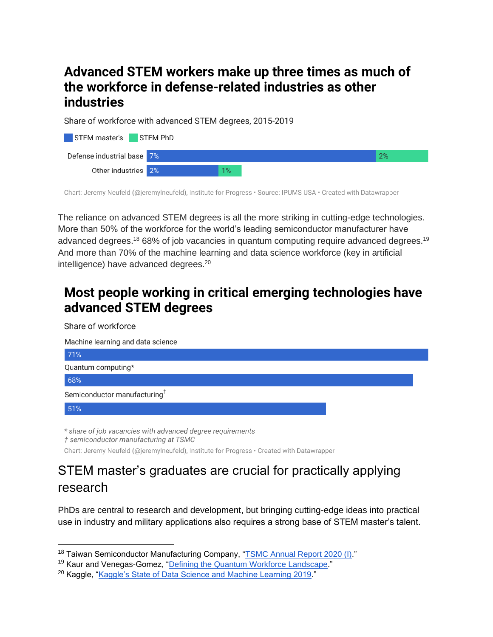## Advanced STEM workers make up three times as much of the workforce in defense-related industries as other industries

Share of workforce with advanced STEM degrees, 2015-2019

| STEM master's STEM PhD     |  |       |  |    |
|----------------------------|--|-------|--|----|
| Defense industrial base 7% |  |       |  | 2% |
| Other industries 2%        |  | $1\%$ |  |    |

Chart: Jeremy Neufeld (@jeremylneufeld), Institute for Progress · Source: IPUMS USA · Created with Datawrapper

The reliance on advanced STEM degrees is all the more striking in cutting-edge technologies. More than 50% of the workforce for the world's leading semiconductor manufacturer have advanced degrees.<sup>18</sup> 68% of job vacancies in quantum computing require advanced degrees.<sup>19</sup> And more than 70% of the machine learning and data science workforce (key in artificial intelligence) have advanced degrees.<sup>20</sup>

# Most people working in critical emerging technologies have advanced STEM degrees

![](_page_5_Picture_6.jpeg)

# STEM master's graduates are crucial for practically applying research

PhDs are central to research and development, but bringing cutting-edge ideas into practical use in industry and military applications also requires a strong base of STEM master's talent.

<sup>&</sup>lt;sup>18</sup> Taiwan Semiconductor Manufacturing Company, ["TSMC Annual Report 2020 \(I\).](https://investor.tsmc.com/static/annualReports/2020/english/pdf/e_all.pdf)"

<sup>19</sup> Kaur and Venegas-Gomez, ["Defining the Quantum Workforce Landscape.](http://arxiv.org/abs/2202.08940)"

<sup>20</sup> Kaggle, ["Kaggle's State of Data Science and Machine Learning 2019.](https://www.kaggle.com/kaggle-survey-2019)"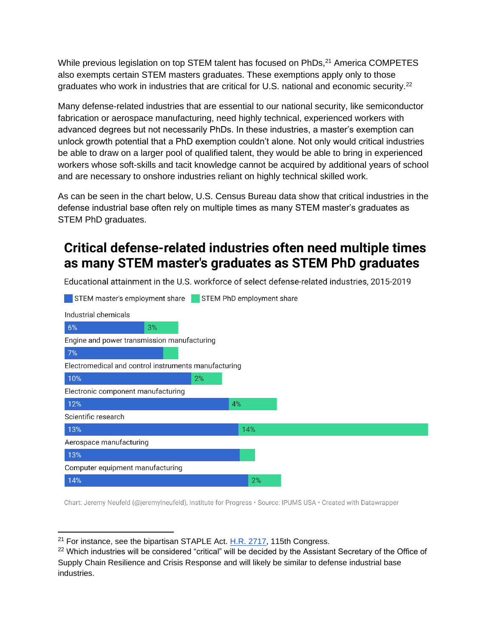While previous legislation on top STEM talent has focused on PhDs.<sup>21</sup> America COMPETES also exempts certain STEM masters graduates. These exemptions apply only to those graduates who work in industries that are critical for U.S. national and economic security.<sup>22</sup>

Many defense-related industries that are essential to our national security, like semiconductor fabrication or aerospace manufacturing, need highly technical, experienced workers with advanced degrees but not necessarily PhDs. In these industries, a master's exemption can unlock growth potential that a PhD exemption couldn't alone. Not only would critical industries be able to draw on a larger pool of qualified talent, they would be able to bring in experienced workers whose soft-skills and tacit knowledge cannot be acquired by additional years of school and are necessary to onshore industries reliant on highly technical skilled work.

As can be seen in the chart below, U.S. Census Bureau data show that critical industries in the defense industrial base often rely on multiple times as many STEM master's graduates as STEM PhD graduates.

# Critical defense-related industries often need multiple times as many STEM master's graduates as STEM PhD graduates

Educational attainment in the U.S. workforce of select defense-related industries, 2015-2019

![](_page_6_Figure_5.jpeg)

Chart: Jeremy Neufeld (@jeremylneufeld), Institute for Progress · Source: IPUMS USA · Created with Datawrapper

 $21$  For instance, see the bipartisan STAPLE Act. H.R.  $2717$ , 115th Congress.

<sup>&</sup>lt;sup>22</sup> Which industries will be considered "critical" will be decided by the Assistant Secretary of the Office of Supply Chain Resilience and Crisis Response and will likely be similar to defense industrial base industries.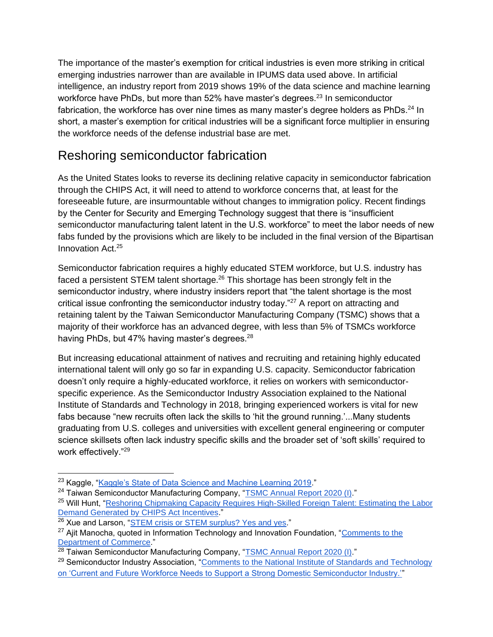The importance of the master's exemption for critical industries is even more striking in critical emerging industries narrower than are available in IPUMS data used above. In artificial intelligence, an industry report from 2019 shows 19% of the data science and machine learning workforce have PhDs, but more than 52% have master's degrees.<sup>23</sup> In semiconductor fabrication, the workforce has over nine times as many master's degree holders as PhDs.<sup>24</sup> In short, a master's exemption for critical industries will be a significant force multiplier in ensuring the workforce needs of the defense industrial base are met.

## Reshoring semiconductor fabrication

As the United States looks to reverse its declining relative capacity in semiconductor fabrication through the CHIPS Act, it will need to attend to workforce concerns that, at least for the foreseeable future, are insurmountable without changes to immigration policy. Recent findings by the Center for Security and Emerging Technology suggest that there is "insufficient semiconductor manufacturing talent latent in the U.S. workforce" to meet the labor needs of new fabs funded by the provisions which are likely to be included in the final version of the Bipartisan Innovation Act.<sup>25</sup>

Semiconductor fabrication requires a highly educated STEM workforce, but U.S. industry has faced a persistent STEM talent shortage. $26$  This shortage has been strongly felt in the semiconductor industry, where industry insiders report that "the talent shortage is the most critical issue confronting the semiconductor industry today."<sup>27</sup> A report on attracting and retaining talent by the Taiwan Semiconductor Manufacturing Company (TSMC) shows that a majority of their workforce has an advanced degree, with less than 5% of TSMCs workforce having PhDs, but 47% having master's degrees.<sup>28</sup>

But increasing educational attainment of natives and recruiting and retaining highly educated international talent will only go so far in expanding U.S. capacity. Semiconductor fabrication doesn't only require a highly-educated workforce, it relies on workers with semiconductorspecific experience. As the Semiconductor Industry Association explained to the National Institute of Standards and Technology in 2018, bringing experienced workers is vital for new fabs because "new recruits often lack the skills to 'hit the ground running.'...Many students graduating from U.S. colleges and universities with excellent general engineering or computer science skillsets often lack industry specific skills and the broader set of 'soft skills' required to work effectively."<sup>29</sup>

<sup>&</sup>lt;sup>23</sup> Kaggle, ["Kaggle's State of Data Science and Machine Learning 2019.](https://www.kaggle.com/kaggle-survey-2019)"

<sup>&</sup>lt;sup>24</sup> Taiwan Semiconductor Manufacturing Company, ["TSMC Annual Report 2020 \(I\).](https://investor.tsmc.com/static/annualReports/2020/english/pdf/e_all.pdf)"

<sup>&</sup>lt;sup>25</sup> Will Hunt, "Reshoring Chipmaking Capacity Requires High-Skilled Foreign Talent: Estimating the Labor [Demand Generated by CHIPS Act Incentives.](https://cset.georgetown.edu/publication/reshoring-chipmaking-capacity-requires-high-skilled-foreign-talent/)"

<sup>&</sup>lt;sup>26</sup> Xue and Larson, ["STEM crisis or STEM surplus? Yes and yes.](https://www.bls.gov/opub/mlr/2015/article/stem-crisis-or-stem-surplus-yes-and-yes.htm)"

<sup>&</sup>lt;sup>27</sup> Aiit Manocha, quoted in Information Technology and Innovation Foundation, "Comments to the [Department of Commerce.](https://www2.itif.org/2022-commerce-semiconductors-rfi.pdf)"

<sup>&</sup>lt;sup>28</sup> Taiwan Semiconductor Manufacturing Company, ["TSMC Annual Report 2020 \(I\).](https://investor.tsmc.com/static/annualReports/2020/english/pdf/e_all.pdf)"

<sup>&</sup>lt;sup>29</sup> Semiconductor Industry Association, "Comments to the National Institute of Standards and Technology [on 'Current and Future Workforce Needs to Support a Strong Domestic Semiconductor Industry.'"](https://www.semiconductors.org/wp-content/uploads/2018/11/NIST-workforce-RFI-august-2018.pdf)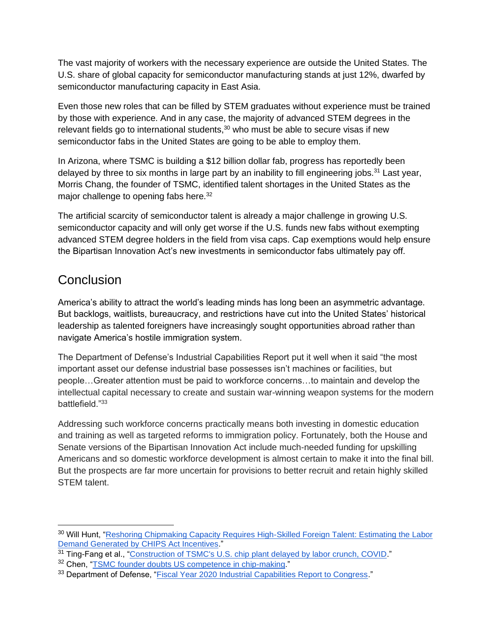The vast majority of workers with the necessary experience are outside the United States. The U.S. share of global capacity for semiconductor manufacturing stands at just 12%, dwarfed by semiconductor manufacturing capacity in East Asia.

Even those new roles that can be filled by STEM graduates without experience must be trained by those with experience. And in any case, the majority of advanced STEM degrees in the relevant fields go to international students, $30$  who must be able to secure visas if new semiconductor fabs in the United States are going to be able to employ them.

In Arizona, where TSMC is building a \$12 billion dollar fab, progress has reportedly been delayed by three to six months in large part by an inability to fill engineering jobs.<sup>31</sup> Last year, Morris Chang, the founder of TSMC, identified talent shortages in the United States as the major challenge to opening fabs here.<sup>32</sup>

The artificial scarcity of semiconductor talent is already a major challenge in growing U.S. semiconductor capacity and will only get worse if the U.S. funds new fabs without exempting advanced STEM degree holders in the field from visa caps. Cap exemptions would help ensure the Bipartisan Innovation Act's new investments in semiconductor fabs ultimately pay off.

#### **Conclusion**

America's ability to attract the world's leading minds has long been an asymmetric advantage. But backlogs, waitlists, bureaucracy, and restrictions have cut into the United States' historical leadership as talented foreigners have increasingly sought opportunities abroad rather than navigate America's hostile immigration system.

The Department of Defense's Industrial Capabilities Report put it well when it said "the most important asset our defense industrial base possesses isn't machines or facilities, but people…Greater attention must be paid to workforce concerns…to maintain and develop the intellectual capital necessary to create and sustain war-winning weapon systems for the modern battlefield."<sup>33</sup>

Addressing such workforce concerns practically means both investing in domestic education and training as well as targeted reforms to immigration policy. Fortunately, both the House and Senate versions of the Bipartisan Innovation Act include much-needed funding for upskilling Americans and so domestic workforce development is almost certain to make it into the final bill. But the prospects are far more uncertain for provisions to better recruit and retain highly skilled STEM talent.

<sup>&</sup>lt;sup>30</sup> Will Hunt, "Reshoring Chipmaking Capacity Requires High-Skilled Foreign Talent: Estimating the Labor [Demand Generated by CHIPS Act Incentives.](https://cset.georgetown.edu/publication/reshoring-chipmaking-capacity-requires-high-skilled-foreign-talent/)"

<sup>&</sup>lt;sup>31</sup> Ting-Fang et al., ["Construction of TSMC's U.S. chip plant delayed by labor crunch, COVID.](https://asia.nikkei.com/Business/Tech/Semiconductors/Construction-of-TSMC-s-U.S.-chip-plant-delayed-by-labor-crunch-COVID)"

<sup>32</sup> Chen, ["TSMC founder doubts US competence in chip-making.](https://asiatimes.com/2021/04/tsmc-founder-doubts-us-competence-in-chip-making/)"

<sup>&</sup>lt;sup>33</sup> Department of Defense, ["Fiscal Year 2020 Industrial Capabilities Report to Congress.](https://media.defense.gov/2021/Jan/14/2002565311/-1/-1/0/FY20-INDUSTRIAL-CAPABILITIES-REPORT.PDF)"